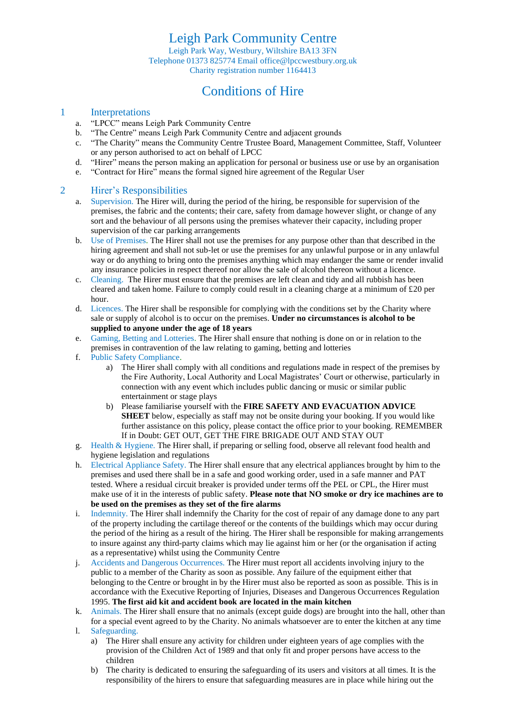Leigh Park Community Centre Leigh Park Way, Westbury, Wiltshire BA13 3FN Telephone 01373 825774 Email office@lpccwestbury.org.uk Charity registration number 1164413

### Conditions of Hire

#### 1 Interpretations

- a. "LPCC" means Leigh Park Community Centre
- b. "The Centre" means Leigh Park Community Centre and adjacent grounds
- c. "The Charity" means the Community Centre Trustee Board, Management Committee, Staff, Volunteer or any person authorised to act on behalf of LPCC
- d. "Hirer" means the person making an application for personal or business use or use by an organisation
- e. "Contract for Hire" means the formal signed hire agreement of the Regular User

#### 2 Hirer's Responsibilities

- a. Supervision. The Hirer will, during the period of the hiring, be responsible for supervision of the premises, the fabric and the contents; their care, safety from damage however slight, or change of any sort and the behaviour of all persons using the premises whatever their capacity, including proper supervision of the car parking arrangements
- b. Use of Premises. The Hirer shall not use the premises for any purpose other than that described in the hiring agreement and shall not sub-let or use the premises for any unlawful purpose or in any unlawful way or do anything to bring onto the premises anything which may endanger the same or render invalid any insurance policies in respect thereof nor allow the sale of alcohol thereon without a licence.
- c. Cleaning. The Hirer must ensure that the premises are left clean and tidy and all rubbish has been cleared and taken home. Failure to comply could result in a cleaning charge at a minimum of £20 per hour.
- d. Licences. The Hirer shall be responsible for complying with the conditions set by the Charity where sale or supply of alcohol is to occur on the premises. **Under no circumstances is alcohol to be supplied to anyone under the age of 18 years**
- e. Gaming, Betting and Lotteries. The Hirer shall ensure that nothing is done on or in relation to the premises in contravention of the law relating to gaming, betting and lotteries
- f. Public Safety Compliance.
	- a) The Hirer shall comply with all conditions and regulations made in respect of the premises by the Fire Authority, Local Authority and Local Magistrates' Court or otherwise, particularly in connection with any event which includes public dancing or music or similar public entertainment or stage plays
	- b) Please familiarise yourself with the **FIRE SAFETY AND EVACUATION ADVICE SHEET** below, especially as staff may not be onsite during your booking. If you would like further assistance on this policy, please contact the office prior to your booking. REMEMBER If in Doubt: GET OUT, GET THE FIRE BRIGADE OUT AND STAY OUT
- g. Health & Hygiene. The Hirer shall, if preparing or selling food, observe all relevant food health and hygiene legislation and regulations
- h. Electrical Appliance Safety. The Hirer shall ensure that any electrical appliances brought by him to the premises and used there shall be in a safe and good working order, used in a safe manner and PAT tested. Where a residual circuit breaker is provided under terms off the PEL or CPL, the Hirer must make use of it in the interests of public safety. **Please note that NO smoke or dry ice machines are to be used on the premises as they set of the fire alarms**
- i. Indemnity. The Hirer shall indemnify the Charity for the cost of repair of any damage done to any part of the property including the cartilage thereof or the contents of the buildings which may occur during the period of the hiring as a result of the hiring. The Hirer shall be responsible for making arrangements to insure against any third-party claims which may lie against him or her (or the organisation if acting as a representative) whilst using the Community Centre
- j. Accidents and Dangerous Occurrences. The Hirer must report all accidents involving injury to the public to a member of the Charity as soon as possible. Any failure of the equipment either that belonging to the Centre or brought in by the Hirer must also be reported as soon as possible. This is in accordance with the Executive Reporting of Injuries, Diseases and Dangerous Occurrences Regulation 1995. **The first aid kit and accident book are located in the main kitchen**
- k. Animals. The Hirer shall ensure that no animals (except guide dogs) are brought into the hall, other than for a special event agreed to by the Charity. No animals whatsoever are to enter the kitchen at any time
- l. Safeguarding.
	- a) The Hirer shall ensure any activity for children under eighteen years of age complies with the provision of the Children Act of 1989 and that only fit and proper persons have access to the children
	- b) The charity is dedicated to ensuring the safeguarding of its users and visitors at all times. It is the responsibility of the hirers to ensure that safeguarding measures are in place while hiring out the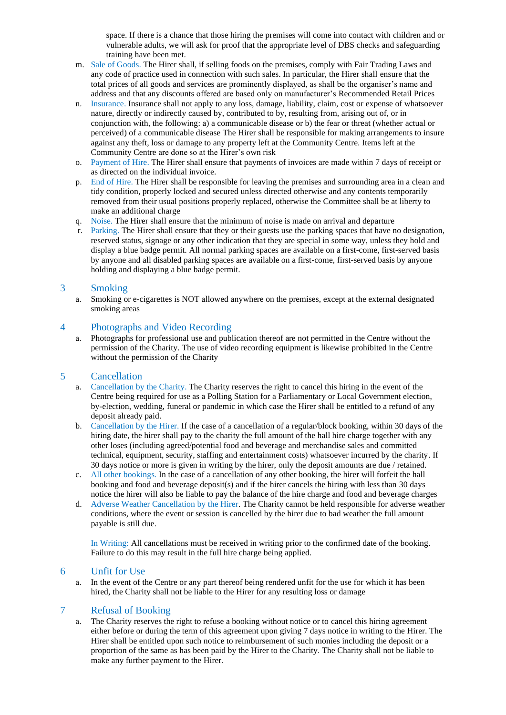space. If there is a chance that those hiring the premises will come into contact with children and or vulnerable adults, we will ask for proof that the appropriate level of DBS checks and safeguarding training have been met.

- m. Sale of Goods. The Hirer shall, if selling foods on the premises, comply with Fair Trading Laws and any code of practice used in connection with such sales. In particular, the Hirer shall ensure that the total prices of all goods and services are prominently displayed, as shall be the organiser's name and address and that any discounts offered are based only on manufacturer's Recommended Retail Prices
- n. Insurance. Insurance shall not apply to any loss, damage, liability, claim, cost or expense of whatsoever nature, directly or indirectly caused by, contributed to by, resulting from, arising out of, or in conjunction with, the following: a) a communicable disease or b) the fear or threat (whether actual or perceived) of a communicable disease The Hirer shall be responsible for making arrangements to insure against any theft, loss or damage to any property left at the Community Centre. Items left at the Community Centre are done so at the Hirer's own risk
- o. Payment of Hire. The Hirer shall ensure that payments of invoices are made within 7 days of receipt or as directed on the individual invoice.
- p. End of Hire. The Hirer shall be responsible for leaving the premises and surrounding area in a clean and tidy condition, properly locked and secured unless directed otherwise and any contents temporarily removed from their usual positions properly replaced, otherwise the Committee shall be at liberty to make an additional charge
- q. Noise. The Hirer shall ensure that the minimum of noise is made on arrival and departure
- r. Parking. The Hirer shall ensure that they or their guests use the parking spaces that have no designation, reserved status, signage or any other indication that they are special in some way, unless they hold and display a blue badge permit. All normal parking spaces are available on a first-come, first-served basis by anyone and all disabled parking spaces are available on a first-come, first-served basis by anyone holding and displaying a blue badge permit.

#### 3 Smoking

a. Smoking or e-cigarettes is NOT allowed anywhere on the premises, except at the external designated smoking areas

#### 4 Photographs and Video Recording

a. Photographs for professional use and publication thereof are not permitted in the Centre without the permission of the Charity. The use of video recording equipment is likewise prohibited in the Centre without the permission of the Charity

#### 5 Cancellation

- a. Cancellation by the Charity. The Charity reserves the right to cancel this hiring in the event of the Centre being required for use as a Polling Station for a Parliamentary or Local Government election, by-election, wedding, funeral or pandemic in which case the Hirer shall be entitled to a refund of any deposit already paid.
- b. Cancellation by the Hirer. If the case of a cancellation of a regular/block booking, within 30 days of the hiring date, the hirer shall pay to the charity the full amount of the hall hire charge together with any other loses (including agreed/potential food and beverage and merchandise sales and committed technical, equipment, security, staffing and entertainment costs) whatsoever incurred by the charity. If 30 days notice or more is given in writing by the hirer, only the deposit amounts are due / retained.
- c. All other bookings. In the case of a cancellation of any other booking, the hirer will forfeit the hall booking and food and beverage deposit(s) and if the hirer cancels the hiring with less than 30 days notice the hirer will also be liable to pay the balance of the hire charge and food and beverage charges
- d. Adverse Weather Cancellation by the Hirer. The Charity cannot be held responsible for adverse weather conditions, where the event or session is cancelled by the hirer due to bad weather the full amount payable is still due.

In Writing: All cancellations must be received in writing prior to the confirmed date of the booking. Failure to do this may result in the full hire charge being applied.

#### 6 Unfit for Use

a. In the event of the Centre or any part thereof being rendered unfit for the use for which it has been hired, the Charity shall not be liable to the Hirer for any resulting loss or damage

#### 7 Refusal of Booking

a. The Charity reserves the right to refuse a booking without notice or to cancel this hiring agreement either before or during the term of this agreement upon giving 7 days notice in writing to the Hirer. The Hirer shall be entitled upon such notice to reimbursement of such monies including the deposit or a proportion of the same as has been paid by the Hirer to the Charity. The Charity shall not be liable to make any further payment to the Hirer.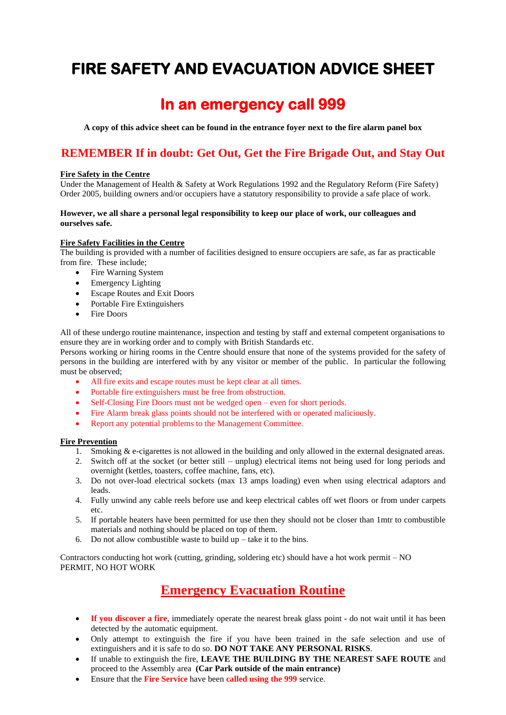# **FIRE SAFETY AND EVACUATION ADVICE SHEET**

## **In an emergency call 999**

**A copy of this advice sheet can be found in the entrance foyer next to the fire alarm panel box**

### **REMEMBER If in doubt: Get Out, Get the Fire Brigade Out, and Stay Out**

#### **Fire Safety in the Centre**

Under the Management of Health & Safety at Work Regulations 1992 and the Regulatory Reform (Fire Safety) Order 2005, building owners and/or occupiers have a statutory responsibility to provide a safe place of work.

#### **However, we all share a personal legal responsibility to keep our place of work, our colleagues and ourselves safe.**

#### **Fire Safety Facilities in the Centre**

The building is provided with a number of facilities designed to ensure occupiers are safe, as far as practicable from fire. These include;

- Fire Warning System
- Emergency Lighting
- Escape Routes and Exit Doors
- Portable Fire Extinguishers
- Fire Doors

All of these undergo routine maintenance, inspection and testing by staff and external competent organisations to ensure they are in working order and to comply with British Standards etc.

Persons working or hiring rooms in the Centre should ensure that none of the systems provided for the safety of persons in the building are interfered with by any visitor or member of the public. In particular the following must be observed;

- All fire exits and escape routes must be kept clear at all times.
- Portable fire extinguishers must be free from obstruction.
- Self-Closing Fire Doors must not be wedged open even for short periods.
- Fire Alarm break glass points should not be interfered with or operated maliciously.
- Report any potential problems to the Management Committee.

#### **Fire Prevention**

- 1. Smoking  $&e$ -cigarettes is not allowed in the building and only allowed in the external designated areas.
- 2. Switch off at the socket (or better still unplug) electrical items not being used for long periods and overnight (kettles, toasters, coffee machine, fans, etc).
- 3. Do not over-load electrical sockets (max 13 amps loading) even when using electrical adaptors and leads.
- 4. Fully unwind any cable reels before use and keep electrical cables off wet floors or from under carpets etc.
- 5. If portable heaters have been permitted for use then they should not be closer than 1mtr to combustible materials and nothing should be placed on top of them.
- 6. Do not allow combustible waste to build  $up$  take it to the bins.

Contractors conducting hot work (cutting, grinding, soldering etc) should have a hot work permit – NO PERMIT, NO HOT WORK

## **Emergency Evacuation Routine**

- **If you discover a fire**, immediately operate the nearest break glass point do not wait until it has been detected by the automatic equipment.
- Only attempt to extinguish the fire if you have been trained in the safe selection and use of extinguishers and it is safe to do so. **DO NOT TAKE ANY PERSONAL RISKS**.
- If unable to extinguish the fire, **LEAVE THE BUILDING BY THE NEAREST SAFE ROUTE** and proceed to the Assembly area **(Car Park outside of the main entrance)**
- Ensure that the **Fire Service** have been **called using the 999** service.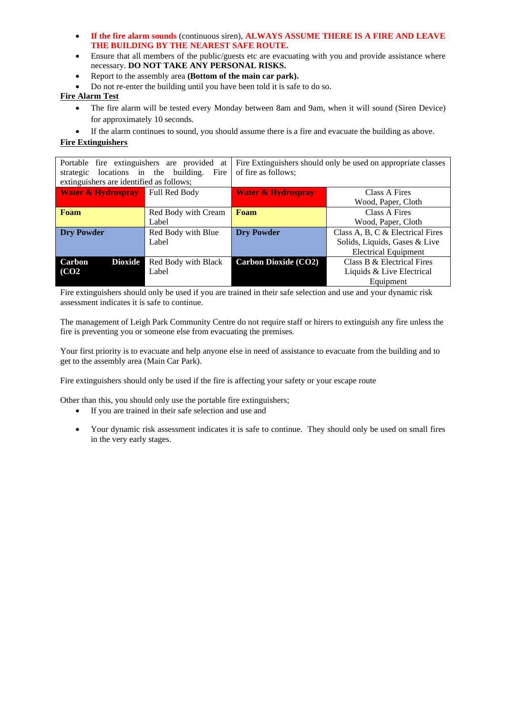- **If the fire alarm sounds** (continuous siren), **ALWAYS ASSUME THERE IS A FIRE AND LEAVE THE BUILDING BY THE NEAREST SAFE ROUTE.**
- Ensure that all members of the public/guests etc are evacuating with you and provide assistance where necessary. **DO NOT TAKE ANY PERSONAL RISKS.**
- Report to the assembly area **(Bottom of the main car park).**
- Do not re-enter the building until you have been told it is safe to do so.

#### **Fire Alarm Test**

- The fire alarm will be tested every Monday between 8am and 9am, when it will sound (Siren Device) for approximately 10 seconds.
- If the alarm continues to sound, you should assume there is a fire and evacuate the building as above.

#### **Fire Extinguishers**

| Portable fire extinguishers are provided<br>at  |                     | Fire Extinguishers should only be used on appropriate classes |                                  |  |
|-------------------------------------------------|---------------------|---------------------------------------------------------------|----------------------------------|--|
| locations in the building.<br>Fire<br>strategic |                     | of fire as follows;                                           |                                  |  |
| extinguishers are identified as follows;        |                     |                                                               |                                  |  |
| <b>Water &amp; Hydrospray</b>                   | Full Red Body       | <b>Water &amp; Hydrospray</b>                                 | Class A Fires                    |  |
|                                                 |                     |                                                               | Wood, Paper, Cloth               |  |
| Foam                                            | Red Body with Cream | Foam                                                          | Class A Fires                    |  |
|                                                 | Label               |                                                               | Wood, Paper, Cloth               |  |
| <b>Dry Powder</b>                               | Red Body with Blue  | <b>Dry Powder</b>                                             | Class A, B, C & Electrical Fires |  |
|                                                 | Label               |                                                               | Solids, Liquids, Gases & Live    |  |
|                                                 |                     |                                                               | <b>Electrical Equipment</b>      |  |
| <b>Dioxide</b><br>Carbon                        | Red Body with Black | <b>Carbon Dioxide (CO2)</b>                                   | Class B & Electrical Fires       |  |
| (CO2)                                           | Label               |                                                               | Liquids & Live Electrical        |  |
|                                                 |                     |                                                               | Equipment                        |  |

Fire extinguishers should only be used if you are trained in their safe selection and use and your dynamic risk assessment indicates it is safe to continue.

The management of Leigh Park Community Centre do not require staff or hirers to extinguish any fire unless the fire is preventing you or someone else from evacuating the premises.

Your first priority is to evacuate and help anyone else in need of assistance to evacuate from the building and to get to the assembly area (Main Car Park).

Fire extinguishers should only be used if the fire is affecting your safety or your escape route

Other than this, you should only use the portable fire extinguishers;

- If you are trained in their safe selection and use and
- Your dynamic risk assessment indicates it is safe to continue. They should only be used on small fires in the very early stages.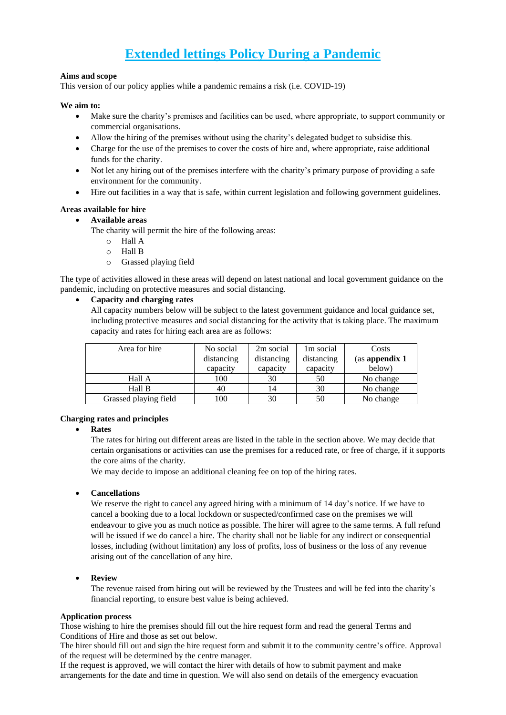## **Extended lettings Policy During a Pandemic**

#### **Aims and scope**

This version of our policy applies while a pandemic remains a risk (i.e. COVID-19)

#### **We aim to:**

- Make sure the charity's premises and facilities can be used, where appropriate, to support community or commercial organisations.
- Allow the hiring of the premises without using the charity's delegated budget to subsidise this.
- Charge for the use of the premises to cover the costs of hire and, where appropriate, raise additional funds for the charity.
- Not let any hiring out of the premises interfere with the charity's primary purpose of providing a safe environment for the community.
- Hire out facilities in a way that is safe, within current legislation and following government guidelines.

#### **Areas available for hire**

#### • **Available areas**

The charity will permit the hire of the following areas:

- o Hall A
- o Hall B
- o Grassed playing field

The type of activities allowed in these areas will depend on latest national and local government guidance on the pandemic, including on protective measures and social distancing.

#### • **Capacity and charging rates**

All capacity numbers below will be subject to the latest government guidance and local guidance set, including protective measures and social distancing for the activity that is taking place. The maximum capacity and rates for hiring each area are as follows:

| Area for hire         | No social  | 2m social  | 1m social  | Costs          |
|-----------------------|------------|------------|------------|----------------|
|                       | distancing | distancing | distancing | (as appendix 1 |
|                       | capacity   | capacity   | capacity   | below)         |
| Hall A                | 100        | 30         | 50         | No change      |
| Hall B                | 40         | 14         | 30         | No change      |
| Grassed playing field | 100        | 30         | 50         | No change      |

#### **Charging rates and principles**

#### • **Rates**

The rates for hiring out different areas are listed in the table in the section above. We may decide that certain organisations or activities can use the premises for a reduced rate, or free of charge, if it supports the core aims of the charity.

We may decide to impose an additional cleaning fee on top of the hiring rates.

#### • **Cancellations**

We reserve the right to cancel any agreed hiring with a minimum of 14 day's notice. If we have to cancel a booking due to a local lockdown or suspected/confirmed case on the premises we will endeavour to give you as much notice as possible. The hirer will agree to the same terms. A full refund will be issued if we do cancel a hire. The charity shall not be liable for any indirect or consequential losses, including (without limitation) any loss of profits, loss of business or the loss of any revenue arising out of the cancellation of any hire.

#### • **Review**

The revenue raised from hiring out will be reviewed by the Trustees and will be fed into the charity's financial reporting, to ensure best value is being achieved.

#### **Application process**

Those wishing to hire the premises should fill out the hire request form and read the general Terms and Conditions of Hire and those as set out below.

The hirer should fill out and sign the hire request form and submit it to the community centre's office. Approval of the request will be determined by the centre manager.

If the request is approved, we will contact the hirer with details of how to submit payment and make arrangements for the date and time in question. We will also send on details of the emergency evacuation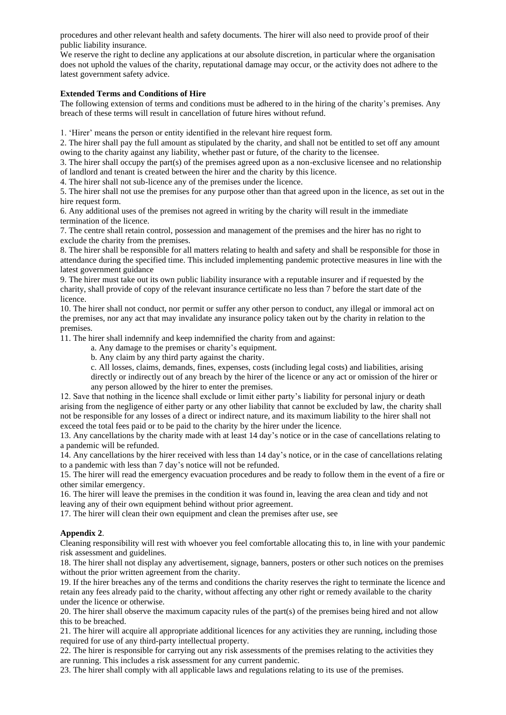procedures and other relevant health and safety documents. The hirer will also need to provide proof of their public liability insurance.

We reserve the right to decline any applications at our absolute discretion, in particular where the organisation does not uphold the values of the charity, reputational damage may occur, or the activity does not adhere to the latest government safety advice.

#### **Extended Terms and Conditions of Hire**

The following extension of terms and conditions must be adhered to in the hiring of the charity's premises. Any breach of these terms will result in cancellation of future hires without refund.

1. 'Hirer' means the person or entity identified in the relevant hire request form.

2. The hirer shall pay the full amount as stipulated by the charity, and shall not be entitled to set off any amount owing to the charity against any liability, whether past or future, of the charity to the licensee.

3. The hirer shall occupy the part(s) of the premises agreed upon as a non-exclusive licensee and no relationship of landlord and tenant is created between the hirer and the charity by this licence.

4. The hirer shall not sub-licence any of the premises under the licence.

5. The hirer shall not use the premises for any purpose other than that agreed upon in the licence, as set out in the hire request form.

6. Any additional uses of the premises not agreed in writing by the charity will result in the immediate termination of the licence.

7. The centre shall retain control, possession and management of the premises and the hirer has no right to exclude the charity from the premises.

8. The hirer shall be responsible for all matters relating to health and safety and shall be responsible for those in attendance during the specified time. This included implementing pandemic protective measures in line with the latest government guidance

9. The hirer must take out its own public liability insurance with a reputable insurer and if requested by the charity, shall provide of copy of the relevant insurance certificate no less than 7 before the start date of the licence.

10. The hirer shall not conduct, nor permit or suffer any other person to conduct, any illegal or immoral act on the premises, nor any act that may invalidate any insurance policy taken out by the charity in relation to the premises.

11. The hirer shall indemnify and keep indemnified the charity from and against:

a. Any damage to the premises or charity's equipment.

b. Any claim by any third party against the charity.

c. All losses, claims, demands, fines, expenses, costs (including legal costs) and liabilities, arising directly or indirectly out of any breach by the hirer of the licence or any act or omission of the hirer or any person allowed by the hirer to enter the premises.

12. Save that nothing in the licence shall exclude or limit either party's liability for personal injury or death arising from the negligence of either party or any other liability that cannot be excluded by law, the charity shall not be responsible for any losses of a direct or indirect nature, and its maximum liability to the hirer shall not exceed the total fees paid or to be paid to the charity by the hirer under the licence.

13. Any cancellations by the charity made with at least 14 day's notice or in the case of cancellations relating to a pandemic will be refunded.

14. Any cancellations by the hirer received with less than 14 day's notice, or in the case of cancellations relating to a pandemic with less than 7 day's notice will not be refunded.

15. The hirer will read the emergency evacuation procedures and be ready to follow them in the event of a fire or other similar emergency.

16. The hirer will leave the premises in the condition it was found in, leaving the area clean and tidy and not leaving any of their own equipment behind without prior agreement.

17. The hirer will clean their own equipment and clean the premises after use, see

#### **Appendix 2**.

Cleaning responsibility will rest with whoever you feel comfortable allocating this to, in line with your pandemic risk assessment and guidelines.

18. The hirer shall not display any advertisement, signage, banners, posters or other such notices on the premises without the prior written agreement from the charity.

19. If the hirer breaches any of the terms and conditions the charity reserves the right to terminate the licence and retain any fees already paid to the charity, without affecting any other right or remedy available to the charity under the licence or otherwise.

20. The hirer shall observe the maximum capacity rules of the part(s) of the premises being hired and not allow this to be breached.

21. The hirer will acquire all appropriate additional licences for any activities they are running, including those required for use of any third-party intellectual property.

22. The hirer is responsible for carrying out any risk assessments of the premises relating to the activities they are running. This includes a risk assessment for any current pandemic.

23. The hirer shall comply with all applicable laws and regulations relating to its use of the premises.